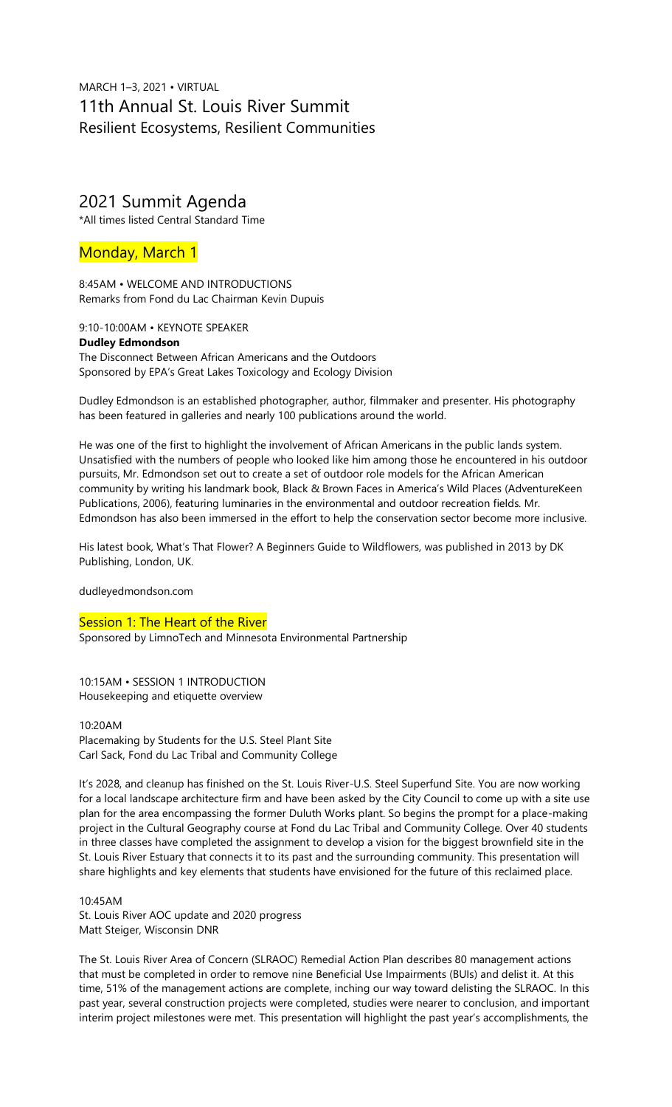# MARCH 1–3, 2021 • VIRTUAL 11th Annual St. Louis River Summit Resilient Ecosystems, Resilient Communities

# 2021 Summit Agenda

\*All times listed Central Standard Time

# Monday, March 1

8:45AM • WELCOME AND INTRODUCTIONS Remarks from Fond du Lac Chairman Kevin Dupuis

9:10-10:00AM • KEYNOTE SPEAKER

# **Dudley Edmondson** The Disconnect Between African Americans and the Outdoors Sponsored by EPA's Great Lakes Toxicology and Ecology Division

Dudley Edmondson is an established photographer, author, filmmaker and presenter. His photography has been featured in galleries and nearly 100 publications around the world.

He was one of the first to highlight the involvement of African Americans in the public lands system. Unsatisfied with the numbers of people who looked like him among those he encountered in his outdoor pursuits, Mr. Edmondson set out to create a set of outdoor role models for the African American community by writing his landmark book, Black & Brown Faces in America's Wild Places (AdventureKeen Publications, 2006), featuring luminaries in the environmental and outdoor recreation fields. Mr. Edmondson has also been immersed in the effort to help the conservation sector become more inclusive.

His latest book, What's That Flower? A Beginners Guide to Wildflowers, was published in 2013 by DK Publishing, London, UK.

dudleyedmondson.com

# Session 1: The Heart of the River

Sponsored by LimnoTech and Minnesota Environmental Partnership

10:15AM • SESSION 1 INTRODUCTION Housekeeping and etiquette overview

10:20AM Placemaking by Students for the U.S. Steel Plant Site Carl Sack, Fond du Lac Tribal and Community College

It's 2028, and cleanup has finished on the St. Louis River-U.S. Steel Superfund Site. You are now working for a local landscape architecture firm and have been asked by the City Council to come up with a site use plan for the area encompassing the former Duluth Works plant. So begins the prompt for a place-making project in the Cultural Geography course at Fond du Lac Tribal and Community College. Over 40 students in three classes have completed the assignment to develop a vision for the biggest brownfield site in the St. Louis River Estuary that connects it to its past and the surrounding community. This presentation will share highlights and key elements that students have envisioned for the future of this reclaimed place.

# 10:45AM

St. Louis River AOC update and 2020 progress Matt Steiger, Wisconsin DNR

The St. Louis River Area of Concern (SLRAOC) Remedial Action Plan describes 80 management actions that must be completed in order to remove nine Beneficial Use Impairments (BUIs) and delist it. At this time, 51% of the management actions are complete, inching our way toward delisting the SLRAOC. In this past year, several construction projects were completed, studies were nearer to conclusion, and important interim project milestones were met. This presentation will highlight the past year's accomplishments, the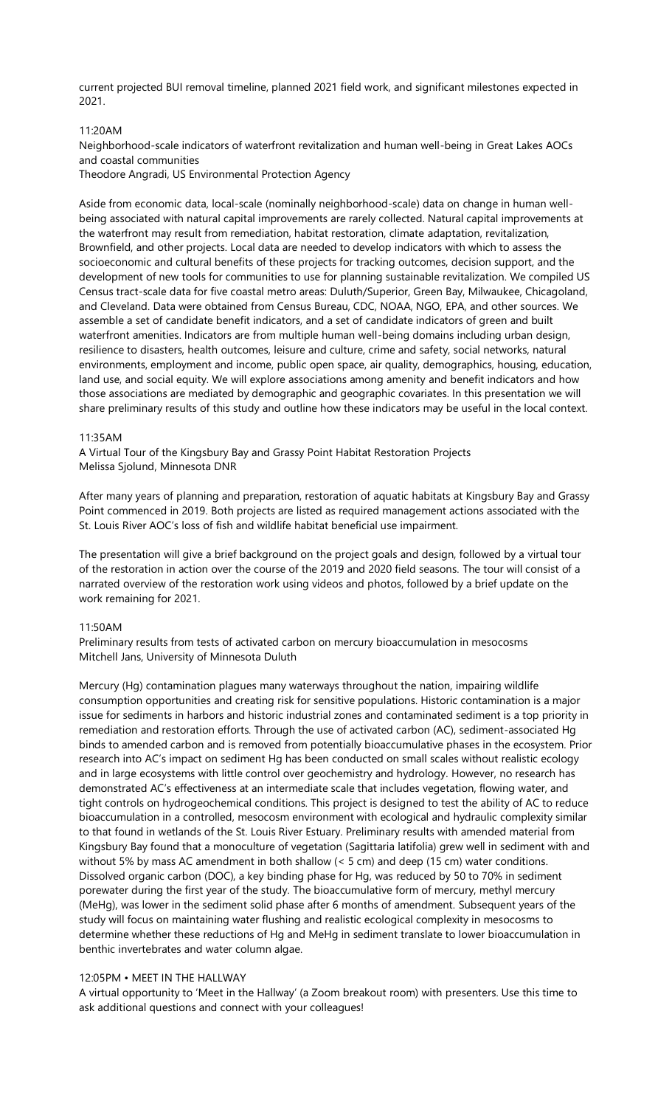current projected BUI removal timeline, planned 2021 field work, and significant milestones expected in 2021.

# 11:20AM

Neighborhood-scale indicators of waterfront revitalization and human well-being in Great Lakes AOCs and coastal communities

Theodore Angradi, US Environmental Protection Agency

Aside from economic data, local-scale (nominally neighborhood-scale) data on change in human wellbeing associated with natural capital improvements are rarely collected. Natural capital improvements at the waterfront may result from remediation, habitat restoration, climate adaptation, revitalization, Brownfield, and other projects. Local data are needed to develop indicators with which to assess the socioeconomic and cultural benefits of these projects for tracking outcomes, decision support, and the development of new tools for communities to use for planning sustainable revitalization. We compiled US Census tract-scale data for five coastal metro areas: Duluth/Superior, Green Bay, Milwaukee, Chicagoland, and Cleveland. Data were obtained from Census Bureau, CDC, NOAA, NGO, EPA, and other sources. We assemble a set of candidate benefit indicators, and a set of candidate indicators of green and built waterfront amenities. Indicators are from multiple human well-being domains including urban design, resilience to disasters, health outcomes, leisure and culture, crime and safety, social networks, natural environments, employment and income, public open space, air quality, demographics, housing, education, land use, and social equity. We will explore associations among amenity and benefit indicators and how those associations are mediated by demographic and geographic covariates. In this presentation we will share preliminary results of this study and outline how these indicators may be useful in the local context.

#### 11:35AM

A Virtual Tour of the Kingsbury Bay and Grassy Point Habitat Restoration Projects Melissa Sjolund, Minnesota DNR

After many years of planning and preparation, restoration of aquatic habitats at Kingsbury Bay and Grassy Point commenced in 2019. Both projects are listed as required management actions associated with the St. Louis River AOC's loss of fish and wildlife habitat beneficial use impairment.

The presentation will give a brief background on the project goals and design, followed by a virtual tour of the restoration in action over the course of the 2019 and 2020 field seasons. The tour will consist of a narrated overview of the restoration work using videos and photos, followed by a brief update on the work remaining for 2021.

## 11:50AM

Preliminary results from tests of activated carbon on mercury bioaccumulation in mesocosms Mitchell Jans, University of Minnesota Duluth

Mercury (Hg) contamination plagues many waterways throughout the nation, impairing wildlife consumption opportunities and creating risk for sensitive populations. Historic contamination is a major issue for sediments in harbors and historic industrial zones and contaminated sediment is a top priority in remediation and restoration efforts. Through the use of activated carbon (AC), sediment-associated Hg binds to amended carbon and is removed from potentially bioaccumulative phases in the ecosystem. Prior research into AC's impact on sediment Hg has been conducted on small scales without realistic ecology and in large ecosystems with little control over geochemistry and hydrology. However, no research has demonstrated AC's effectiveness at an intermediate scale that includes vegetation, flowing water, and tight controls on hydrogeochemical conditions. This project is designed to test the ability of AC to reduce bioaccumulation in a controlled, mesocosm environment with ecological and hydraulic complexity similar to that found in wetlands of the St. Louis River Estuary. Preliminary results with amended material from Kingsbury Bay found that a monoculture of vegetation (Sagittaria latifolia) grew well in sediment with and without 5% by mass AC amendment in both shallow (< 5 cm) and deep (15 cm) water conditions. Dissolved organic carbon (DOC), a key binding phase for Hg, was reduced by 50 to 70% in sediment porewater during the first year of the study. The bioaccumulative form of mercury, methyl mercury (MeHg), was lower in the sediment solid phase after 6 months of amendment. Subsequent years of the study will focus on maintaining water flushing and realistic ecological complexity in mesocosms to determine whether these reductions of Hg and MeHg in sediment translate to lower bioaccumulation in benthic invertebrates and water column algae.

#### 12:05PM • MEET IN THE HALLWAY

A virtual opportunity to 'Meet in the Hallway' (a Zoom breakout room) with presenters. Use this time to ask additional questions and connect with your colleagues!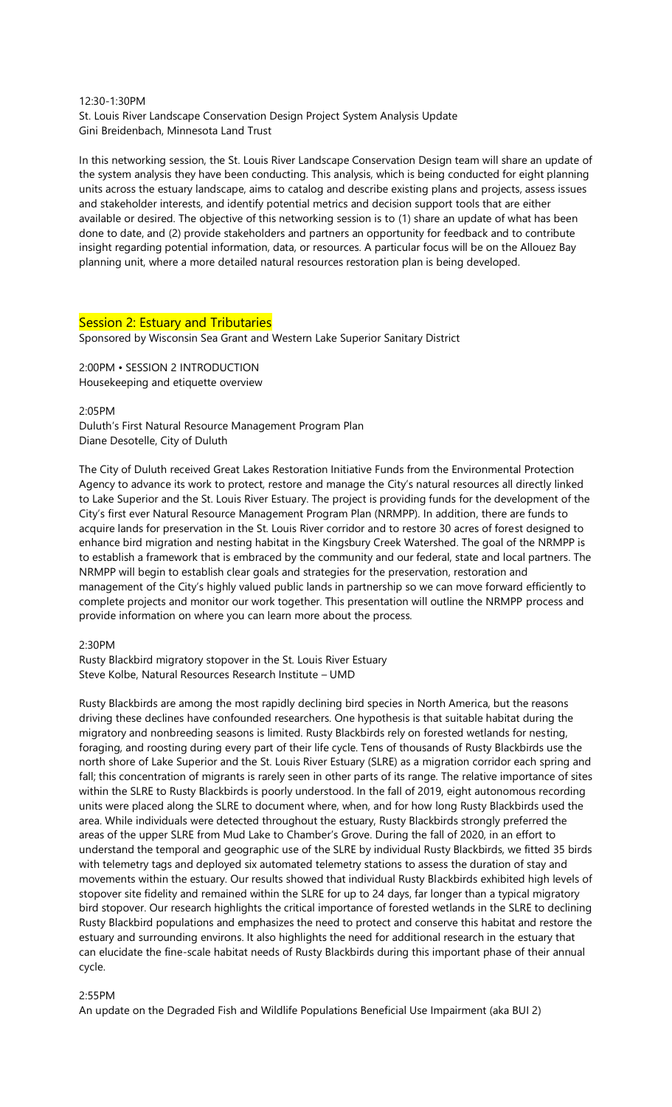# 12:30-1:30PM St. Louis River Landscape Conservation Design Project System Analysis Update Gini Breidenbach, Minnesota Land Trust

In this networking session, the St. Louis River Landscape Conservation Design team will share an update of the system analysis they have been conducting. This analysis, which is being conducted for eight planning units across the estuary landscape, aims to catalog and describe existing plans and projects, assess issues and stakeholder interests, and identify potential metrics and decision support tools that are either available or desired. The objective of this networking session is to (1) share an update of what has been done to date, and (2) provide stakeholders and partners an opportunity for feedback and to contribute insight regarding potential information, data, or resources. A particular focus will be on the Allouez Bay planning unit, where a more detailed natural resources restoration plan is being developed.

# Session 2: Estuary and Tributaries

Sponsored by Wisconsin Sea Grant and Western Lake Superior Sanitary District

2:00PM • SESSION 2 INTRODUCTION Housekeeping and etiquette overview

2:05PM

Duluth's First Natural Resource Management Program Plan Diane Desotelle, City of Duluth

The City of Duluth received Great Lakes Restoration Initiative Funds from the Environmental Protection Agency to advance its work to protect, restore and manage the City's natural resources all directly linked to Lake Superior and the St. Louis River Estuary. The project is providing funds for the development of the City's first ever Natural Resource Management Program Plan (NRMPP). In addition, there are funds to acquire lands for preservation in the St. Louis River corridor and to restore 30 acres of forest designed to enhance bird migration and nesting habitat in the Kingsbury Creek Watershed. The goal of the NRMPP is to establish a framework that is embraced by the community and our federal, state and local partners. The NRMPP will begin to establish clear goals and strategies for the preservation, restoration and management of the City's highly valued public lands in partnership so we can move forward efficiently to complete projects and monitor our work together. This presentation will outline the NRMPP process and provide information on where you can learn more about the process.

2:30PM

Rusty Blackbird migratory stopover in the St. Louis River Estuary Steve Kolbe, Natural Resources Research Institute – UMD

Rusty Blackbirds are among the most rapidly declining bird species in North America, but the reasons driving these declines have confounded researchers. One hypothesis is that suitable habitat during the migratory and nonbreeding seasons is limited. Rusty Blackbirds rely on forested wetlands for nesting, foraging, and roosting during every part of their life cycle. Tens of thousands of Rusty Blackbirds use the north shore of Lake Superior and the St. Louis River Estuary (SLRE) as a migration corridor each spring and fall; this concentration of migrants is rarely seen in other parts of its range. The relative importance of sites within the SLRE to Rusty Blackbirds is poorly understood. In the fall of 2019, eight autonomous recording units were placed along the SLRE to document where, when, and for how long Rusty Blackbirds used the area. While individuals were detected throughout the estuary, Rusty Blackbirds strongly preferred the areas of the upper SLRE from Mud Lake to Chamber's Grove. During the fall of 2020, in an effort to understand the temporal and geographic use of the SLRE by individual Rusty Blackbirds, we fitted 35 birds with telemetry tags and deployed six automated telemetry stations to assess the duration of stay and movements within the estuary. Our results showed that individual Rusty Blackbirds exhibited high levels of stopover site fidelity and remained within the SLRE for up to 24 days, far longer than a typical migratory bird stopover. Our research highlights the critical importance of forested wetlands in the SLRE to declining Rusty Blackbird populations and emphasizes the need to protect and conserve this habitat and restore the estuary and surrounding environs. It also highlights the need for additional research in the estuary that can elucidate the fine-scale habitat needs of Rusty Blackbirds during this important phase of their annual cycle.

# 2:55PM

An update on the Degraded Fish and Wildlife Populations Beneficial Use Impairment (aka BUI 2)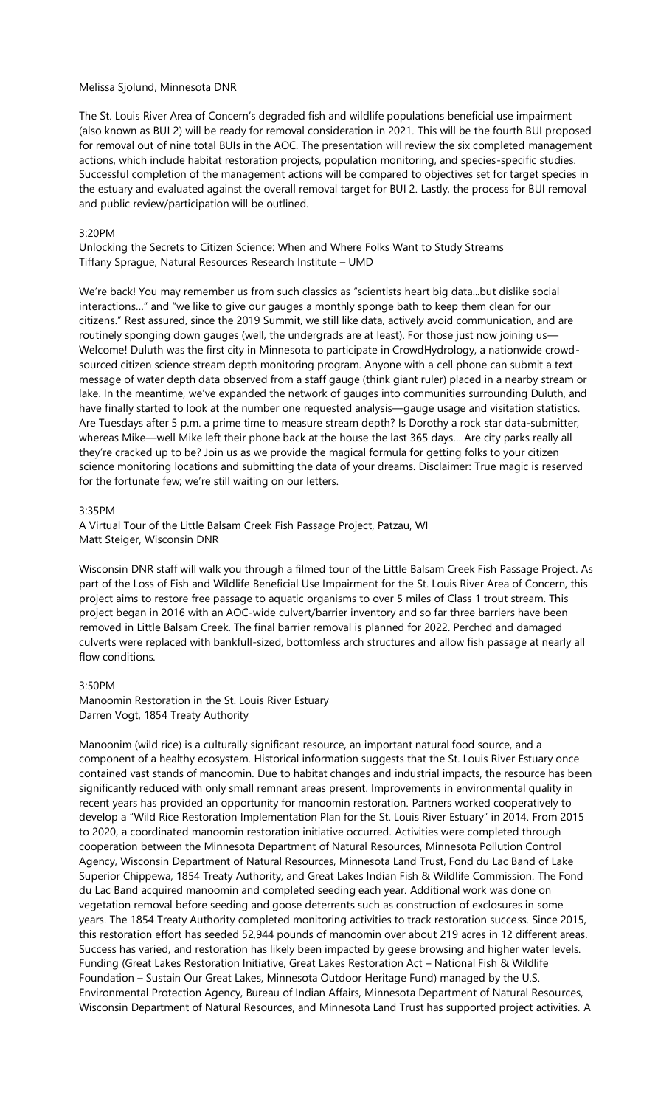#### Melissa Sjolund, Minnesota DNR

The St. Louis River Area of Concern's degraded fish and wildlife populations beneficial use impairment (also known as BUI 2) will be ready for removal consideration in 2021. This will be the fourth BUI proposed for removal out of nine total BUIs in the AOC. The presentation will review the six completed management actions, which include habitat restoration projects, population monitoring, and species-specific studies. Successful completion of the management actions will be compared to objectives set for target species in the estuary and evaluated against the overall removal target for BUI 2. Lastly, the process for BUI removal and public review/participation will be outlined.

## 3:20PM

Unlocking the Secrets to Citizen Science: When and Where Folks Want to Study Streams Tiffany Sprague, Natural Resources Research Institute – UMD

We're back! You may remember us from such classics as "scientists heart big data...but dislike social interactions…" and "we like to give our gauges a monthly sponge bath to keep them clean for our citizens." Rest assured, since the 2019 Summit, we still like data, actively avoid communication, and are routinely sponging down gauges (well, the undergrads are at least). For those just now joining us— Welcome! Duluth was the first city in Minnesota to participate in CrowdHydrology, a nationwide crowdsourced citizen science stream depth monitoring program. Anyone with a cell phone can submit a text message of water depth data observed from a staff gauge (think giant ruler) placed in a nearby stream or lake. In the meantime, we've expanded the network of gauges into communities surrounding Duluth, and have finally started to look at the number one requested analysis—qauge usage and visitation statistics. Are Tuesdays after 5 p.m. a prime time to measure stream depth? Is Dorothy a rock star data-submitter, whereas Mike—well Mike left their phone back at the house the last 365 days… Are city parks really all they're cracked up to be? Join us as we provide the magical formula for getting folks to your citizen science monitoring locations and submitting the data of your dreams. Disclaimer: True magic is reserved for the fortunate few; we're still waiting on our letters.

#### 3:35PM

A Virtual Tour of the Little Balsam Creek Fish Passage Project, Patzau, WI Matt Steiger, Wisconsin DNR

Wisconsin DNR staff will walk you through a filmed tour of the Little Balsam Creek Fish Passage Project. As part of the Loss of Fish and Wildlife Beneficial Use Impairment for the St. Louis River Area of Concern, this project aims to restore free passage to aquatic organisms to over 5 miles of Class 1 trout stream. This project began in 2016 with an AOC-wide culvert/barrier inventory and so far three barriers have been removed in Little Balsam Creek. The final barrier removal is planned for 2022. Perched and damaged culverts were replaced with bankfull-sized, bottomless arch structures and allow fish passage at nearly all flow conditions.

## 3:50PM

Manoomin Restoration in the St. Louis River Estuary Darren Vogt, 1854 Treaty Authority

Manoonim (wild rice) is a culturally significant resource, an important natural food source, and a component of a healthy ecosystem. Historical information suggests that the St. Louis River Estuary once contained vast stands of manoomin. Due to habitat changes and industrial impacts, the resource has been significantly reduced with only small remnant areas present. Improvements in environmental quality in recent years has provided an opportunity for manoomin restoration. Partners worked cooperatively to develop a "Wild Rice Restoration Implementation Plan for the St. Louis River Estuary" in 2014. From 2015 to 2020, a coordinated manoomin restoration initiative occurred. Activities were completed through cooperation between the Minnesota Department of Natural Resources, Minnesota Pollution Control Agency, Wisconsin Department of Natural Resources, Minnesota Land Trust, Fond du Lac Band of Lake Superior Chippewa, 1854 Treaty Authority, and Great Lakes Indian Fish & Wildlife Commission. The Fond du Lac Band acquired manoomin and completed seeding each year. Additional work was done on vegetation removal before seeding and goose deterrents such as construction of exclosures in some years. The 1854 Treaty Authority completed monitoring activities to track restoration success. Since 2015, this restoration effort has seeded 52,944 pounds of manoomin over about 219 acres in 12 different areas. Success has varied, and restoration has likely been impacted by geese browsing and higher water levels. Funding (Great Lakes Restoration Initiative, Great Lakes Restoration Act – National Fish & Wildlife Foundation – Sustain Our Great Lakes, Minnesota Outdoor Heritage Fund) managed by the U.S. Environmental Protection Agency, Bureau of Indian Affairs, Minnesota Department of Natural Resources, Wisconsin Department of Natural Resources, and Minnesota Land Trust has supported project activities. A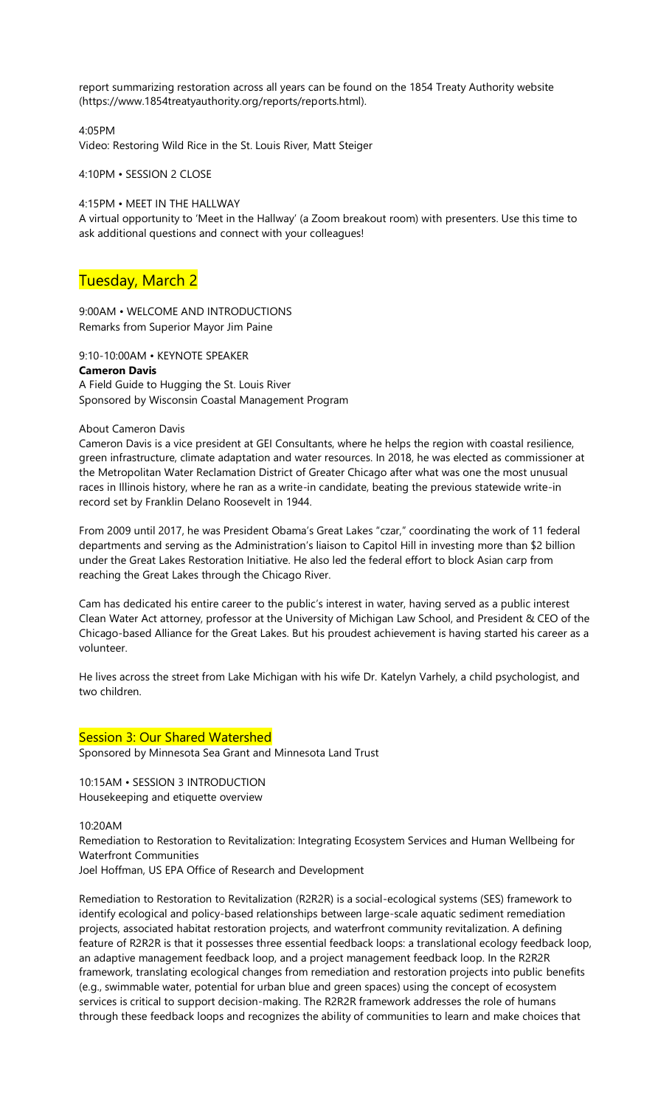report summarizing restoration across all years can be found on the 1854 Treaty Authority website (https://www.1854treatyauthority.org/reports/reports.html).

4:05PM Video: Restoring Wild Rice in the St. Louis River, Matt Steiger

4:10PM • SESSION 2 CLOSE

4:15PM • MEET IN THE HALLWAY

A virtual opportunity to 'Meet in the Hallway' (a Zoom breakout room) with presenters. Use this time to ask additional questions and connect with your colleagues!

# Tuesday, March 2

9:00AM • WELCOME AND INTRODUCTIONS Remarks from Superior Mayor Jim Paine

9:10-10:00AM • KEYNOTE SPEAKER **Cameron Davis** A Field Guide to Hugging the St. Louis River Sponsored by Wisconsin Coastal Management Program

# About Cameron Davis

Cameron Davis is a vice president at GEI Consultants, where he helps the region with coastal resilience, green infrastructure, climate adaptation and water resources. In 2018, he was elected as commissioner at the Metropolitan Water Reclamation District of Greater Chicago after what was one the most unusual races in Illinois history, where he ran as a write-in candidate, beating the previous statewide write-in record set by Franklin Delano Roosevelt in 1944.

From 2009 until 2017, he was President Obama's Great Lakes "czar," coordinating the work of 11 federal departments and serving as the Administration's liaison to Capitol Hill in investing more than \$2 billion under the Great Lakes Restoration Initiative. He also led the federal effort to block Asian carp from reaching the Great Lakes through the Chicago River.

Cam has dedicated his entire career to the public's interest in water, having served as a public interest Clean Water Act attorney, professor at the University of Michigan Law School, and President & CEO of the Chicago-based Alliance for the Great Lakes. But his proudest achievement is having started his career as a volunteer.

He lives across the street from Lake Michigan with his wife Dr. Katelyn Varhely, a child psychologist, and two children.

# Session 3: Our Shared Watershed

Sponsored by Minnesota Sea Grant and Minnesota Land Trust

10:15AM • SESSION 3 INTRODUCTION Housekeeping and etiquette overview

# 10:20AM

Remediation to Restoration to Revitalization: Integrating Ecosystem Services and Human Wellbeing for Waterfront Communities

Joel Hoffman, US EPA Office of Research and Development

Remediation to Restoration to Revitalization (R2R2R) is a social-ecological systems (SES) framework to identify ecological and policy-based relationships between large-scale aquatic sediment remediation projects, associated habitat restoration projects, and waterfront community revitalization. A defining feature of R2R2R is that it possesses three essential feedback loops: a translational ecology feedback loop, an adaptive management feedback loop, and a project management feedback loop. In the R2R2R framework, translating ecological changes from remediation and restoration projects into public benefits (e.g., swimmable water, potential for urban blue and green spaces) using the concept of ecosystem services is critical to support decision-making. The R2R2R framework addresses the role of humans through these feedback loops and recognizes the ability of communities to learn and make choices that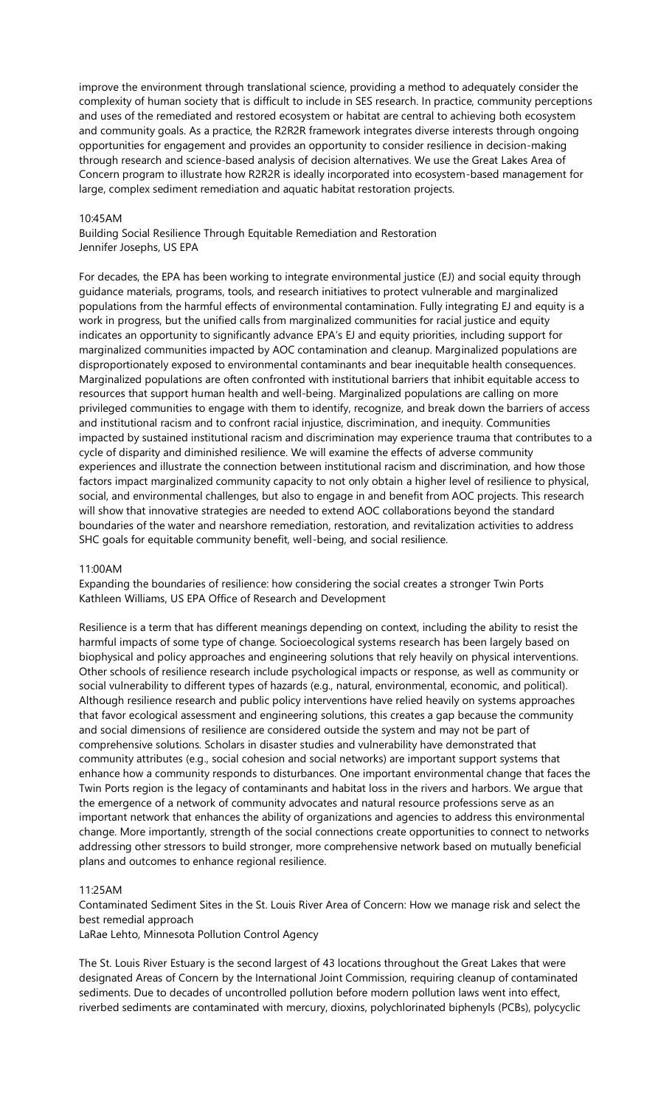improve the environment through translational science, providing a method to adequately consider the complexity of human society that is difficult to include in SES research. In practice, community perceptions and uses of the remediated and restored ecosystem or habitat are central to achieving both ecosystem and community goals. As a practice, the R2R2R framework integrates diverse interests through ongoing opportunities for engagement and provides an opportunity to consider resilience in decision-making through research and science-based analysis of decision alternatives. We use the Great Lakes Area of Concern program to illustrate how R2R2R is ideally incorporated into ecosystem-based management for large, complex sediment remediation and aquatic habitat restoration projects.

## 10:45AM

Building Social Resilience Through Equitable Remediation and Restoration Jennifer Josephs, US EPA

For decades, the EPA has been working to integrate environmental justice (EJ) and social equity through guidance materials, programs, tools, and research initiatives to protect vulnerable and marginalized populations from the harmful effects of environmental contamination. Fully integrating EJ and equity is a work in progress, but the unified calls from marginalized communities for racial justice and equity indicates an opportunity to significantly advance EPA's EJ and equity priorities, including support for marginalized communities impacted by AOC contamination and cleanup. Marginalized populations are disproportionately exposed to environmental contaminants and bear inequitable health consequences. Marginalized populations are often confronted with institutional barriers that inhibit equitable access to resources that support human health and well-being. Marginalized populations are calling on more privileged communities to engage with them to identify, recognize, and break down the barriers of access and institutional racism and to confront racial injustice, discrimination, and inequity. Communities impacted by sustained institutional racism and discrimination may experience trauma that contributes to a cycle of disparity and diminished resilience. We will examine the effects of adverse community experiences and illustrate the connection between institutional racism and discrimination, and how those factors impact marginalized community capacity to not only obtain a higher level of resilience to physical, social, and environmental challenges, but also to engage in and benefit from AOC projects. This research will show that innovative strategies are needed to extend AOC collaborations beyond the standard boundaries of the water and nearshore remediation, restoration, and revitalization activities to address SHC goals for equitable community benefit, well-being, and social resilience.

#### 11:00AM

Expanding the boundaries of resilience: how considering the social creates a stronger Twin Ports Kathleen Williams, US EPA Office of Research and Development

Resilience is a term that has different meanings depending on context, including the ability to resist the harmful impacts of some type of change. Socioecological systems research has been largely based on biophysical and policy approaches and engineering solutions that rely heavily on physical interventions. Other schools of resilience research include psychological impacts or response, as well as community or social vulnerability to different types of hazards (e.g., natural, environmental, economic, and political). Although resilience research and public policy interventions have relied heavily on systems approaches that favor ecological assessment and engineering solutions, this creates a gap because the community and social dimensions of resilience are considered outside the system and may not be part of comprehensive solutions. Scholars in disaster studies and vulnerability have demonstrated that community attributes (e.g., social cohesion and social networks) are important support systems that enhance how a community responds to disturbances. One important environmental change that faces the Twin Ports region is the legacy of contaminants and habitat loss in the rivers and harbors. We argue that the emergence of a network of community advocates and natural resource professions serve as an important network that enhances the ability of organizations and agencies to address this environmental change. More importantly, strength of the social connections create opportunities to connect to networks addressing other stressors to build stronger, more comprehensive network based on mutually beneficial plans and outcomes to enhance regional resilience.

# 11:25AM

Contaminated Sediment Sites in the St. Louis River Area of Concern: How we manage risk and select the best remedial approach

LaRae Lehto, Minnesota Pollution Control Agency

The St. Louis River Estuary is the second largest of 43 locations throughout the Great Lakes that were designated Areas of Concern by the International Joint Commission, requiring cleanup of contaminated sediments. Due to decades of uncontrolled pollution before modern pollution laws went into effect, riverbed sediments are contaminated with mercury, dioxins, polychlorinated biphenyls (PCBs), polycyclic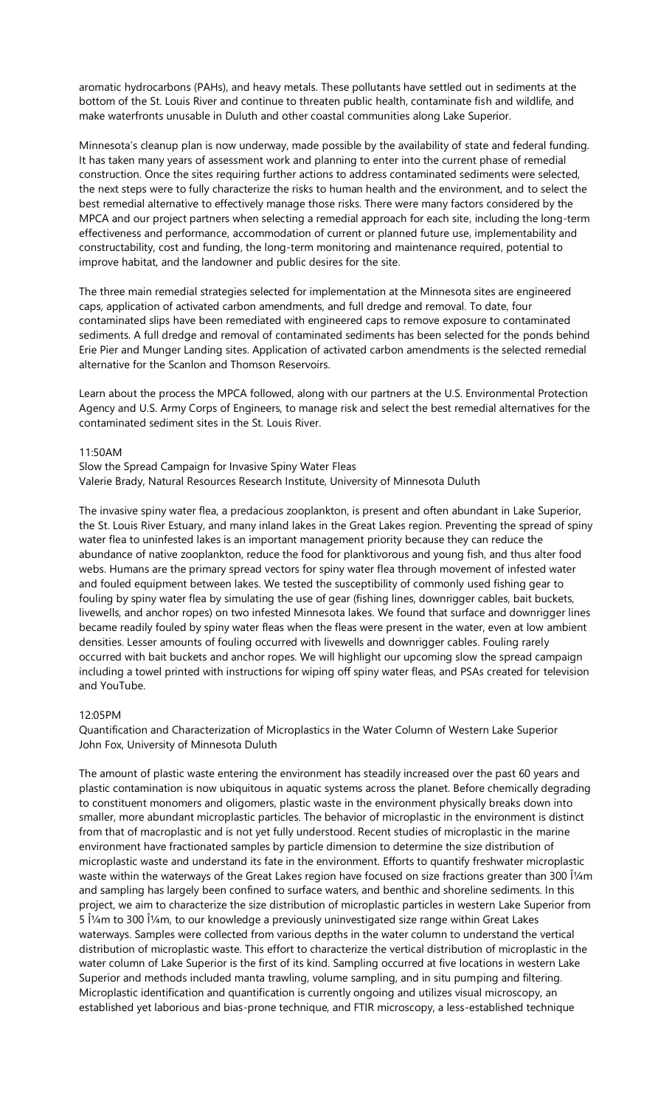aromatic hydrocarbons (PAHs), and heavy metals. These pollutants have settled out in sediments at the bottom of the St. Louis River and continue to threaten public health, contaminate fish and wildlife, and make waterfronts unusable in Duluth and other coastal communities along Lake Superior.

Minnesota's cleanup plan is now underway, made possible by the availability of state and federal funding. It has taken many years of assessment work and planning to enter into the current phase of remedial construction. Once the sites requiring further actions to address contaminated sediments were selected, the next steps were to fully characterize the risks to human health and the environment, and to select the best remedial alternative to effectively manage those risks. There were many factors considered by the MPCA and our project partners when selecting a remedial approach for each site, including the long-term effectiveness and performance, accommodation of current or planned future use, implementability and constructability, cost and funding, the long-term monitoring and maintenance required, potential to improve habitat, and the landowner and public desires for the site.

The three main remedial strategies selected for implementation at the Minnesota sites are engineered caps, application of activated carbon amendments, and full dredge and removal. To date, four contaminated slips have been remediated with engineered caps to remove exposure to contaminated sediments. A full dredge and removal of contaminated sediments has been selected for the ponds behind Erie Pier and Munger Landing sites. Application of activated carbon amendments is the selected remedial alternative for the Scanlon and Thomson Reservoirs.

Learn about the process the MPCA followed, along with our partners at the U.S. Environmental Protection Agency and U.S. Army Corps of Engineers, to manage risk and select the best remedial alternatives for the contaminated sediment sites in the St. Louis River.

#### 11:50AM

Slow the Spread Campaign for Invasive Spiny Water Fleas Valerie Brady, Natural Resources Research Institute, University of Minnesota Duluth

The invasive spiny water flea, a predacious zooplankton, is present and often abundant in Lake Superior, the St. Louis River Estuary, and many inland lakes in the Great Lakes region. Preventing the spread of spiny water flea to uninfested lakes is an important management priority because they can reduce the abundance of native zooplankton, reduce the food for planktivorous and young fish, and thus alter food webs. Humans are the primary spread vectors for spiny water flea through movement of infested water and fouled equipment between lakes. We tested the susceptibility of commonly used fishing gear to fouling by spiny water flea by simulating the use of gear (fishing lines, downrigger cables, bait buckets, livewells, and anchor ropes) on two infested Minnesota lakes. We found that surface and downrigger lines became readily fouled by spiny water fleas when the fleas were present in the water, even at low ambient densities. Lesser amounts of fouling occurred with livewells and downrigger cables. Fouling rarely occurred with bait buckets and anchor ropes. We will highlight our upcoming slow the spread campaign including a towel printed with instructions for wiping off spiny water fleas, and PSAs created for television and YouTube.

# 12:05PM

Quantification and Characterization of Microplastics in the Water Column of Western Lake Superior John Fox, University of Minnesota Duluth

The amount of plastic waste entering the environment has steadily increased over the past 60 years and plastic contamination is now ubiquitous in aquatic systems across the planet. Before chemically degrading to constituent monomers and oligomers, plastic waste in the environment physically breaks down into smaller, more abundant microplastic particles. The behavior of microplastic in the environment is distinct from that of macroplastic and is not yet fully understood. Recent studies of microplastic in the marine environment have fractionated samples by particle dimension to determine the size distribution of microplastic waste and understand its fate in the environment. Efforts to quantify freshwater microplastic waste within the waterways of the Great Lakes region have focused on size fractions greater than 300 μm and sampling has largely been confined to surface waters, and benthic and shoreline sediments. In this project, we aim to characterize the size distribution of microplastic particles in western Lake Superior from 5 μm to 300 μm, to our knowledge a previously uninvestigated size range within Great Lakes waterways. Samples were collected from various depths in the water column to understand the vertical distribution of microplastic waste. This effort to characterize the vertical distribution of microplastic in the water column of Lake Superior is the first of its kind. Sampling occurred at five locations in western Lake Superior and methods included manta trawling, volume sampling, and in situ pumping and filtering. Microplastic identification and quantification is currently ongoing and utilizes visual microscopy, an established yet laborious and bias-prone technique, and FTIR microscopy, a less-established technique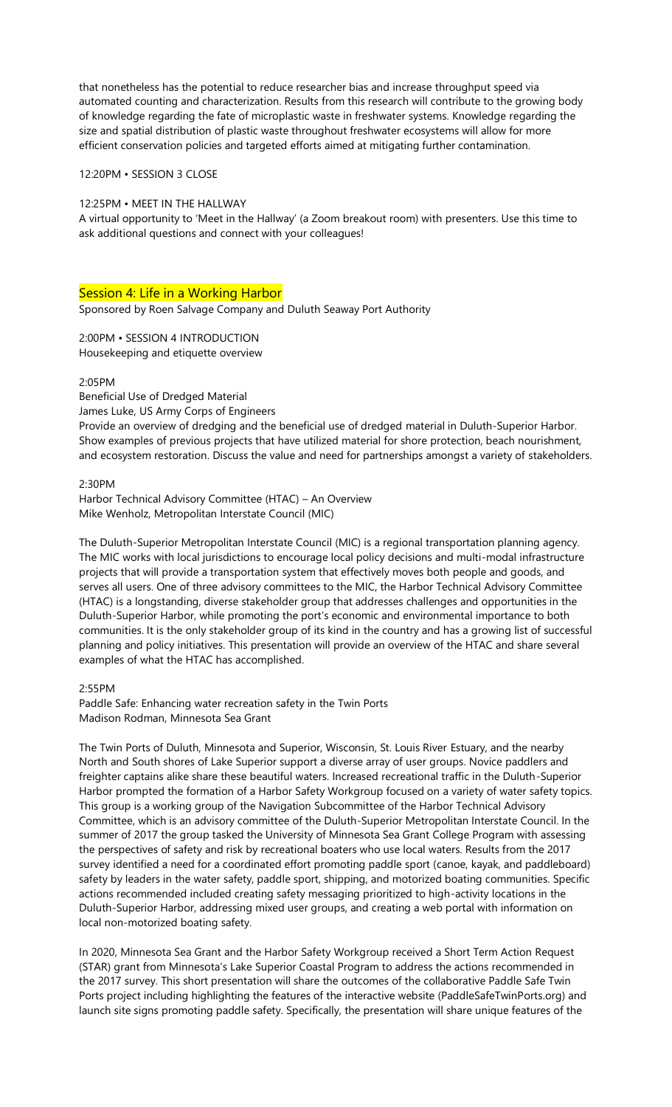that nonetheless has the potential to reduce researcher bias and increase throughput speed via automated counting and characterization. Results from this research will contribute to the growing body of knowledge regarding the fate of microplastic waste in freshwater systems. Knowledge regarding the size and spatial distribution of plastic waste throughout freshwater ecosystems will allow for more efficient conservation policies and targeted efforts aimed at mitigating further contamination.

12:20PM • SESSION 3 CLOSE

## 12:25PM • MEET IN THE HALLWAY

A virtual opportunity to 'Meet in the Hallway' (a Zoom breakout room) with presenters. Use this time to ask additional questions and connect with your colleagues!

# Session 4: Life in a Working Harbor

Sponsored by Roen Salvage Company and Duluth Seaway Port Authority

2:00PM • SESSION 4 INTRODUCTION Housekeeping and etiquette overview

2:05PM

Beneficial Use of Dredged Material

James Luke, US Army Corps of Engineers

Provide an overview of dredging and the beneficial use of dredged material in Duluth-Superior Harbor. Show examples of previous projects that have utilized material for shore protection, beach nourishment, and ecosystem restoration. Discuss the value and need for partnerships amongst a variety of stakeholders.

## 2:30PM

Harbor Technical Advisory Committee (HTAC) – An Overview Mike Wenholz, Metropolitan Interstate Council (MIC)

The Duluth-Superior Metropolitan Interstate Council (MIC) is a regional transportation planning agency. The MIC works with local jurisdictions to encourage local policy decisions and multi-modal infrastructure projects that will provide a transportation system that effectively moves both people and goods, and serves all users. One of three advisory committees to the MIC, the Harbor Technical Advisory Committee (HTAC) is a longstanding, diverse stakeholder group that addresses challenges and opportunities in the Duluth-Superior Harbor, while promoting the port's economic and environmental importance to both communities. It is the only stakeholder group of its kind in the country and has a growing list of successful planning and policy initiatives. This presentation will provide an overview of the HTAC and share several examples of what the HTAC has accomplished.

2:55PM

Paddle Safe: Enhancing water recreation safety in the Twin Ports Madison Rodman, Minnesota Sea Grant

The Twin Ports of Duluth, Minnesota and Superior, Wisconsin, St. Louis River Estuary, and the nearby North and South shores of Lake Superior support a diverse array of user groups. Novice paddlers and freighter captains alike share these beautiful waters. Increased recreational traffic in the Duluth-Superior Harbor prompted the formation of a Harbor Safety Workgroup focused on a variety of water safety topics. This group is a working group of the Navigation Subcommittee of the Harbor Technical Advisory Committee, which is an advisory committee of the Duluth-Superior Metropolitan Interstate Council. In the summer of 2017 the group tasked the University of Minnesota Sea Grant College Program with assessing the perspectives of safety and risk by recreational boaters who use local waters. Results from the 2017 survey identified a need for a coordinated effort promoting paddle sport (canoe, kayak, and paddleboard) safety by leaders in the water safety, paddle sport, shipping, and motorized boating communities. Specific actions recommended included creating safety messaging prioritized to high-activity locations in the Duluth-Superior Harbor, addressing mixed user groups, and creating a web portal with information on local non-motorized boating safety.

In 2020, Minnesota Sea Grant and the Harbor Safety Workgroup received a Short Term Action Request (STAR) grant from Minnesota's Lake Superior Coastal Program to address the actions recommended in the 2017 survey. This short presentation will share the outcomes of the collaborative Paddle Safe Twin Ports project including highlighting the features of the interactive website (PaddleSafeTwinPorts.org) and launch site signs promoting paddle safety. Specifically, the presentation will share unique features of the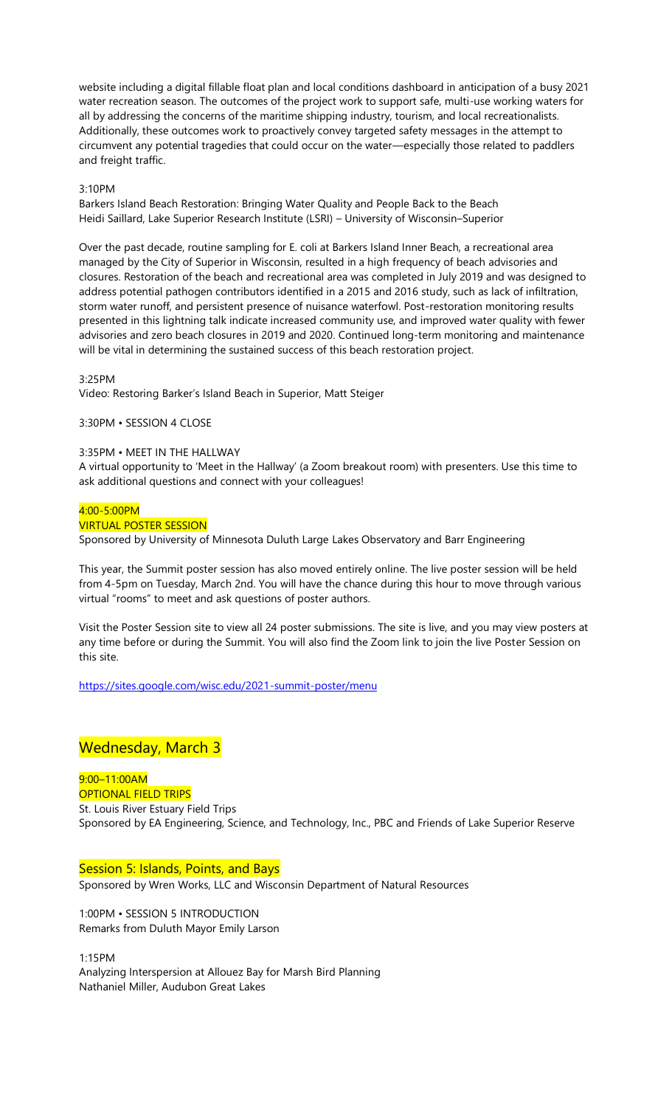website including a digital fillable float plan and local conditions dashboard in anticipation of a busy 2021 water recreation season. The outcomes of the project work to support safe, multi-use working waters for all by addressing the concerns of the maritime shipping industry, tourism, and local recreationalists. Additionally, these outcomes work to proactively convey targeted safety messages in the attempt to circumvent any potential tragedies that could occur on the water—especially those related to paddlers and freight traffic.

## 3:10PM

Barkers Island Beach Restoration: Bringing Water Quality and People Back to the Beach Heidi Saillard, Lake Superior Research Institute (LSRI) – University of Wisconsin–Superior

Over the past decade, routine sampling for E. coli at Barkers Island Inner Beach, a recreational area managed by the City of Superior in Wisconsin, resulted in a high frequency of beach advisories and closures. Restoration of the beach and recreational area was completed in July 2019 and was designed to address potential pathogen contributors identified in a 2015 and 2016 study, such as lack of infiltration, storm water runoff, and persistent presence of nuisance waterfowl. Post-restoration monitoring results presented in this lightning talk indicate increased community use, and improved water quality with fewer advisories and zero beach closures in 2019 and 2020. Continued long-term monitoring and maintenance will be vital in determining the sustained success of this beach restoration project.

## 3:25PM

Video: Restoring Barker's Island Beach in Superior, Matt Steiger

3:30PM • SESSION 4 CLOSE

### 3:35PM • MEET IN THE HALLWAY

A virtual opportunity to 'Meet in the Hallway' (a Zoom breakout room) with presenters. Use this time to ask additional questions and connect with your colleagues!

## $4:00 - 5:00$ PM

#### VIRTUAL POSTER SESSION

Sponsored by University of Minnesota Duluth Large Lakes Observatory and Barr Engineering

This year, the Summit poster session has also moved entirely online. The live poster session will be held from 4-5pm on Tuesday, March 2nd. You will have the chance during this hour to move through various virtual "rooms" to meet and ask questions of poster authors.

Visit the Poster Session site to view all 24 poster submissions. The site is live, and you may view posters at any time before or during the Summit. You will also find the Zoom link to join the live Poster Session on this site.

<https://sites.google.com/wisc.edu/2021-summit-poster/menu>

# Wednesday, March 3

9:00–11:00AM OPTIONAL FIELD TRIPS St. Louis River Estuary Field Trips Sponsored by EA Engineering, Science, and Technology, Inc., PBC and Friends of Lake Superior Reserve

Session 5: Islands, Points, and Bays

Sponsored by Wren Works, LLC and Wisconsin Department of Natural Resources

1:00PM • SESSION 5 INTRODUCTION Remarks from Duluth Mayor Emily Larson

1:15PM Analyzing Interspersion at Allouez Bay for Marsh Bird Planning Nathaniel Miller, Audubon Great Lakes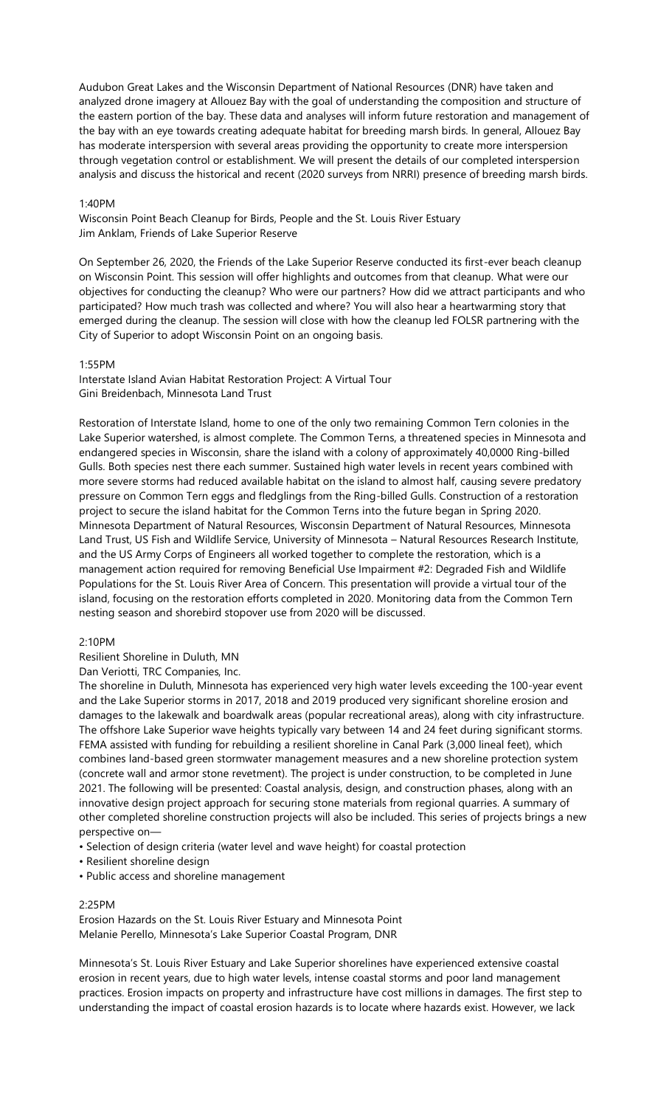Audubon Great Lakes and the Wisconsin Department of National Resources (DNR) have taken and analyzed drone imagery at Allouez Bay with the goal of understanding the composition and structure of the eastern portion of the bay. These data and analyses will inform future restoration and management of the bay with an eye towards creating adequate habitat for breeding marsh birds. In general, Allouez Bay has moderate interspersion with several areas providing the opportunity to create more interspersion through vegetation control or establishment. We will present the details of our completed interspersion analysis and discuss the historical and recent (2020 surveys from NRRI) presence of breeding marsh birds.

# 1:40PM

Wisconsin Point Beach Cleanup for Birds, People and the St. Louis River Estuary Jim Anklam, Friends of Lake Superior Reserve

On September 26, 2020, the Friends of the Lake Superior Reserve conducted its first-ever beach cleanup on Wisconsin Point. This session will offer highlights and outcomes from that cleanup. What were our objectives for conducting the cleanup? Who were our partners? How did we attract participants and who participated? How much trash was collected and where? You will also hear a heartwarming story that emerged during the cleanup. The session will close with how the cleanup led FOLSR partnering with the City of Superior to adopt Wisconsin Point on an ongoing basis.

#### 1:55PM

Interstate Island Avian Habitat Restoration Project: A Virtual Tour Gini Breidenbach, Minnesota Land Trust

Restoration of Interstate Island, home to one of the only two remaining Common Tern colonies in the Lake Superior watershed, is almost complete. The Common Terns, a threatened species in Minnesota and endangered species in Wisconsin, share the island with a colony of approximately 40,0000 Ring-billed Gulls. Both species nest there each summer. Sustained high water levels in recent years combined with more severe storms had reduced available habitat on the island to almost half, causing severe predatory pressure on Common Tern eggs and fledglings from the Ring-billed Gulls. Construction of a restoration project to secure the island habitat for the Common Terns into the future began in Spring 2020. Minnesota Department of Natural Resources, Wisconsin Department of Natural Resources, Minnesota Land Trust, US Fish and Wildlife Service, University of Minnesota – Natural Resources Research Institute, and the US Army Corps of Engineers all worked together to complete the restoration, which is a management action required for removing Beneficial Use Impairment #2: Degraded Fish and Wildlife Populations for the St. Louis River Area of Concern. This presentation will provide a virtual tour of the island, focusing on the restoration efforts completed in 2020. Monitoring data from the Common Tern nesting season and shorebird stopover use from 2020 will be discussed.

### 2:10PM

Resilient Shoreline in Duluth, MN

Dan Veriotti, TRC Companies, Inc.

The shoreline in Duluth, Minnesota has experienced very high water levels exceeding the 100-year event and the Lake Superior storms in 2017, 2018 and 2019 produced very significant shoreline erosion and damages to the lakewalk and boardwalk areas (popular recreational areas), along with city infrastructure. The offshore Lake Superior wave heights typically vary between 14 and 24 feet during significant storms. FEMA assisted with funding for rebuilding a resilient shoreline in Canal Park (3,000 lineal feet), which combines land-based green stormwater management measures and a new shoreline protection system (concrete wall and armor stone revetment). The project is under construction, to be completed in June 2021. The following will be presented: Coastal analysis, design, and construction phases, along with an innovative design project approach for securing stone materials from regional quarries. A summary of other completed shoreline construction projects will also be included. This series of projects brings a new perspective on—

- Selection of design criteria (water level and wave height) for coastal protection
- Resilient shoreline design
- Public access and shoreline management

#### 2:25PM

Erosion Hazards on the St. Louis River Estuary and Minnesota Point Melanie Perello, Minnesota's Lake Superior Coastal Program, DNR

Minnesota's St. Louis River Estuary and Lake Superior shorelines have experienced extensive coastal erosion in recent years, due to high water levels, intense coastal storms and poor land management practices. Erosion impacts on property and infrastructure have cost millions in damages. The first step to understanding the impact of coastal erosion hazards is to locate where hazards exist. However, we lack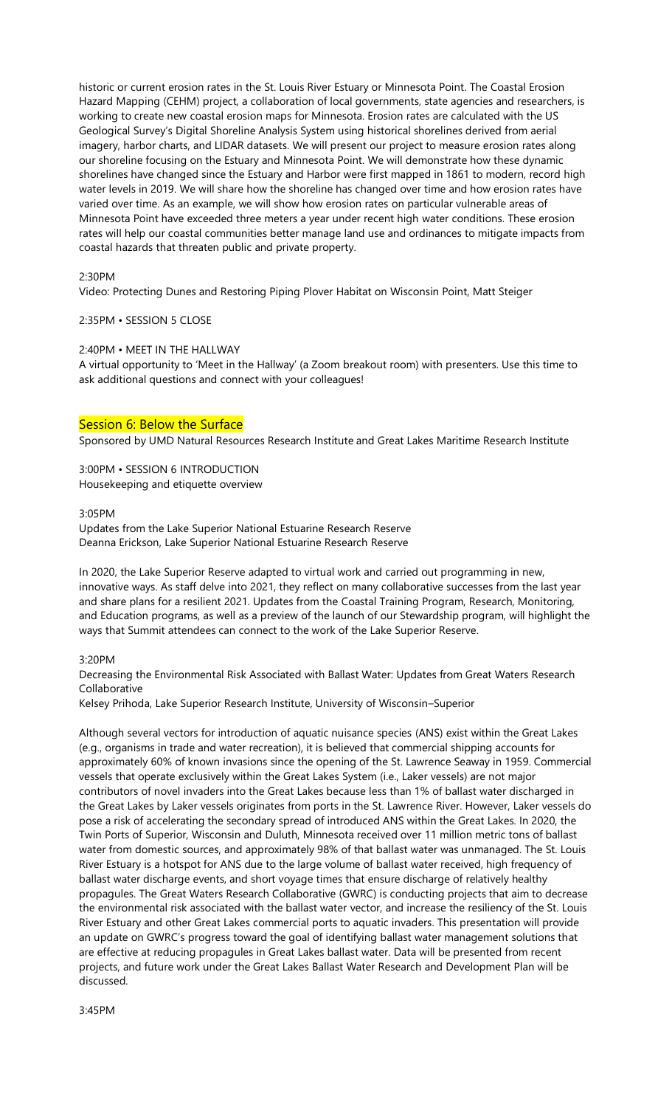historic or current erosion rates in the St. Louis River Estuary or Minnesota Point. The Coastal Erosion Hazard Mapping (CEHM) project, a collaboration of local governments, state agencies and researchers, is working to create new coastal erosion maps for Minnesota. Erosion rates are calculated with the US Geological Survey's Digital Shoreline Analysis System using historical shorelines derived from aerial imagery, harbor charts, and LIDAR datasets. We will present our project to measure erosion rates along our shoreline focusing on the Estuary and Minnesota Point. We will demonstrate how these dynamic shorelines have changed since the Estuary and Harbor were first mapped in 1861 to modern, record high water levels in 2019. We will share how the shoreline has changed over time and how erosion rates have varied over time. As an example, we will show how erosion rates on particular vulnerable areas of Minnesota Point have exceeded three meters a year under recent high water conditions. These erosion rates will help our coastal communities better manage land use and ordinances to mitigate impacts from coastal hazards that threaten public and private property.

## 2:30PM

Video: Protecting Dunes and Restoring Piping Plover Habitat on Wisconsin Point, Matt Steiger

#### 2:35PM • SESSION 5 CLOSE

#### 2:40PM • MEET IN THE HALLWAY

A virtual opportunity to 'Meet in the Hallway' (a Zoom breakout room) with presenters. Use this time to ask additional questions and connect with your colleagues!

# Session 6: Below the Surface

Sponsored by UMD Natural Resources Research Institute and Great Lakes Maritime Research Institute

3:00PM • SESSION 6 INTRODUCTION Housekeeping and etiquette overview

## 3:05PM

Updates from the Lake Superior National Estuarine Research Reserve Deanna Erickson, Lake Superior National Estuarine Research Reserve

In 2020, the Lake Superior Reserve adapted to virtual work and carried out programming in new, innovative ways. As staff delve into 2021, they reflect on many collaborative successes from the last year and share plans for a resilient 2021. Updates from the Coastal Training Program, Research, Monitoring, and Education programs, as well as a preview of the launch of our Stewardship program, will highlight the ways that Summit attendees can connect to the work of the Lake Superior Reserve.

#### 3:20PM

Decreasing the Environmental Risk Associated with Ballast Water: Updates from Great Waters Research Collaborative

Kelsey Prihoda, Lake Superior Research Institute, University of Wisconsin–Superior

Although several vectors for introduction of aquatic nuisance species (ANS) exist within the Great Lakes (e.g., organisms in trade and water recreation), it is believed that commercial shipping accounts for approximately 60% of known invasions since the opening of the St. Lawrence Seaway in 1959. Commercial vessels that operate exclusively within the Great Lakes System (i.e., Laker vessels) are not major contributors of novel invaders into the Great Lakes because less than 1% of ballast water discharged in the Great Lakes by Laker vessels originates from ports in the St. Lawrence River. However, Laker vessels do pose a risk of accelerating the secondary spread of introduced ANS within the Great Lakes. In 2020, the Twin Ports of Superior, Wisconsin and Duluth, Minnesota received over 11 million metric tons of ballast water from domestic sources, and approximately 98% of that ballast water was unmanaged. The St. Louis River Estuary is a hotspot for ANS due to the large volume of ballast water received, high frequency of ballast water discharge events, and short voyage times that ensure discharge of relatively healthy propagules. The Great Waters Research Collaborative (GWRC) is conducting projects that aim to decrease the environmental risk associated with the ballast water vector, and increase the resiliency of the St. Louis River Estuary and other Great Lakes commercial ports to aquatic invaders. This presentation will provide an update on GWRC's progress toward the goal of identifying ballast water management solutions that are effective at reducing propagules in Great Lakes ballast water. Data will be presented from recent projects, and future work under the Great Lakes Ballast Water Research and Development Plan will be discussed.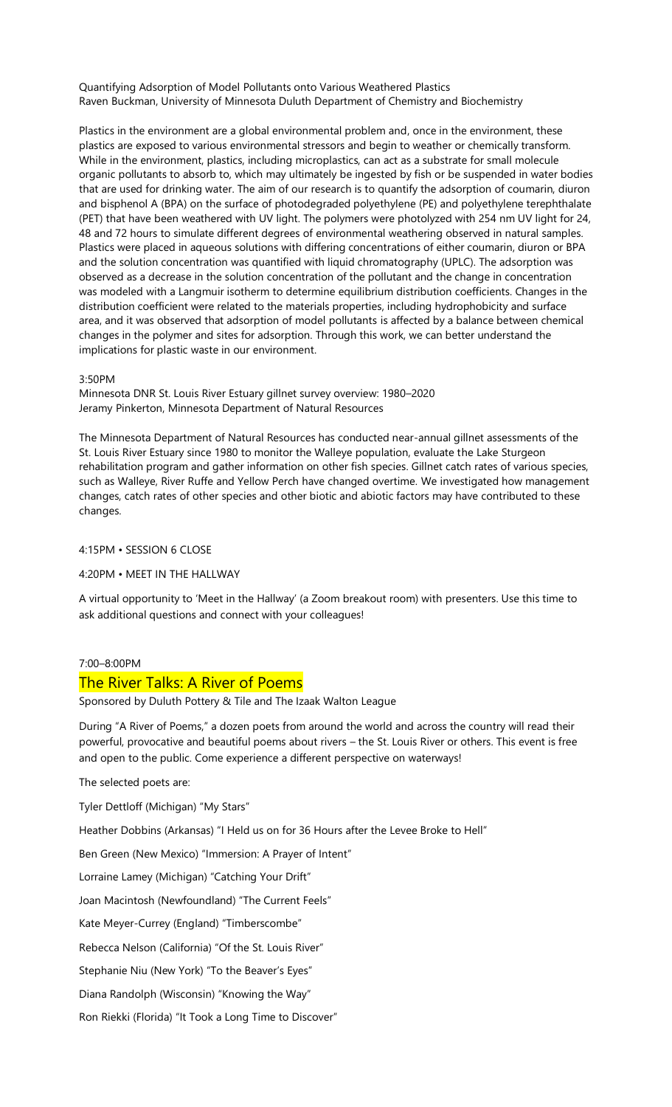Quantifying Adsorption of Model Pollutants onto Various Weathered Plastics Raven Buckman, University of Minnesota Duluth Department of Chemistry and Biochemistry

Plastics in the environment are a global environmental problem and, once in the environment, these plastics are exposed to various environmental stressors and begin to weather or chemically transform. While in the environment, plastics, including microplastics, can act as a substrate for small molecule organic pollutants to absorb to, which may ultimately be ingested by fish or be suspended in water bodies that are used for drinking water. The aim of our research is to quantify the adsorption of coumarin, diuron and bisphenol A (BPA) on the surface of photodegraded polyethylene (PE) and polyethylene terephthalate (PET) that have been weathered with UV light. The polymers were photolyzed with 254 nm UV light for 24, 48 and 72 hours to simulate different degrees of environmental weathering observed in natural samples. Plastics were placed in aqueous solutions with differing concentrations of either coumarin, diuron or BPA and the solution concentration was quantified with liquid chromatography (UPLC). The adsorption was observed as a decrease in the solution concentration of the pollutant and the change in concentration was modeled with a Langmuir isotherm to determine equilibrium distribution coefficients. Changes in the distribution coefficient were related to the materials properties, including hydrophobicity and surface area, and it was observed that adsorption of model pollutants is affected by a balance between chemical changes in the polymer and sites for adsorption. Through this work, we can better understand the implications for plastic waste in our environment.

#### 3:50PM

Minnesota DNR St. Louis River Estuary gillnet survey overview: 1980–2020 Jeramy Pinkerton, Minnesota Department of Natural Resources

The Minnesota Department of Natural Resources has conducted near-annual gillnet assessments of the St. Louis River Estuary since 1980 to monitor the Walleye population, evaluate the Lake Sturgeon rehabilitation program and gather information on other fish species. Gillnet catch rates of various species, such as Walleye, River Ruffe and Yellow Perch have changed overtime. We investigated how management changes, catch rates of other species and other biotic and abiotic factors may have contributed to these changes.

## 4:15PM • SESSION 6 CLOSE

4:20PM • MEET IN THE HALLWAY

A virtual opportunity to 'Meet in the Hallway' (a Zoom breakout room) with presenters. Use this time to ask additional questions and connect with your colleagues!

#### 7:00–8:00PM

# The River Talks: A River of Poems

Sponsored by Duluth Pottery & Tile and The Izaak Walton League

During "A River of Poems," a dozen poets from around the world and across the country will read their powerful, provocative and beautiful poems about rivers – the St. Louis River or others. This event is free and open to the public. Come experience a different perspective on waterways!

The selected poets are:

Tyler Dettloff (Michigan) "My Stars"

Heather Dobbins (Arkansas) "I Held us on for 36 Hours after the Levee Broke to Hell"

Ben Green (New Mexico) "Immersion: A Prayer of Intent"

Lorraine Lamey (Michigan) "Catching Your Drift"

Joan Macintosh (Newfoundland) "The Current Feels"

Kate Meyer-Currey (England) "Timberscombe"

Rebecca Nelson (California) "Of the St. Louis River"

Stephanie Niu (New York) "To the Beaver's Eyes"

Diana Randolph (Wisconsin) "Knowing the Way"

Ron Riekki (Florida) "It Took a Long Time to Discover"